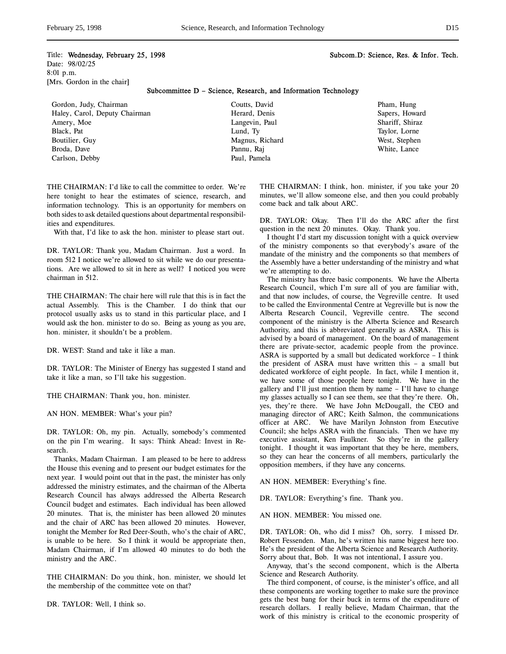## Title: Wednesday, February 25, 1998 Subcom.D: Science, Res. & Infor. Tech.

Date: 98/02/25 8:01 p.m. [Mrs. Gordon in the chair]

Subcommittee D – Science, Research, and Information Technology

Gordon, Judy, Chairman Haley, Carol, Deputy Chairman Amery, Moe Black, Pat Boutilier, Guy Broda, Dave Carlson, Debby

Coutts, David Herard, Denis Langevin, Paul Lund, Ty Magnus, Richard Pannu, Raj Paul, Pamela

Pham, Hung Sapers, Howard Shariff, Shiraz Taylor, Lorne West, Stephen White, Lance

THE CHAIRMAN: I'd like to call the committee to order. We're here tonight to hear the estimates of science, research, and information technology. This is an opportunity for members on both sides to ask detailed questions about departmental responsibilities and expenditures.

With that, I'd like to ask the hon. minister to please start out.

DR. TAYLOR: Thank you, Madam Chairman. Just a word. In room 512 I notice we're allowed to sit while we do our presentations. Are we allowed to sit in here as well? I noticed you were chairman in 512.

THE CHAIRMAN: The chair here will rule that this is in fact the actual Assembly. This is the Chamber. I do think that our protocol usually asks us to stand in this particular place, and I would ask the hon. minister to do so. Being as young as you are, hon. minister, it shouldn't be a problem.

DR. WEST: Stand and take it like a man.

DR. TAYLOR: The Minister of Energy has suggested I stand and take it like a man, so I'll take his suggestion.

THE CHAIRMAN: Thank you, hon. minister.

AN HON. MEMBER: What's your pin?

DR. TAYLOR: Oh, my pin. Actually, somebody's commented on the pin I'm wearing. It says: Think Ahead: Invest in Research.

Thanks, Madam Chairman. I am pleased to be here to address the House this evening and to present our budget estimates for the next year. I would point out that in the past, the minister has only addressed the ministry estimates, and the chairman of the Alberta Research Council has always addressed the Alberta Research Council budget and estimates. Each individual has been allowed 20 minutes. That is, the minister has been allowed 20 minutes and the chair of ARC has been allowed 20 minutes. However, tonight the Member for Red Deer-South, who's the chair of ARC, is unable to be here. So I think it would be appropriate then, Madam Chairman, if I'm allowed 40 minutes to do both the ministry and the ARC.

THE CHAIRMAN: Do you think, hon. minister, we should let the membership of the committee vote on that?

DR. TAYLOR: Well, I think so.

THE CHAIRMAN: I think, hon. minister, if you take your 20 minutes, we'll allow someone else, and then you could probably come back and talk about ARC.

DR. TAYLOR: Okay. Then I'll do the ARC after the first question in the next 20 minutes. Okay. Thank you.

I thought I'd start my discussion tonight with a quick overview of the ministry components so that everybody's aware of the mandate of the ministry and the components so that members of the Assembly have a better understanding of the ministry and what we're attempting to do.

The ministry has three basic components. We have the Alberta Research Council, which I'm sure all of you are familiar with, and that now includes, of course, the Vegreville centre. It used to be called the Environmental Centre at Vegreville but is now the Alberta Research Council, Vegreville centre. The second component of the ministry is the Alberta Science and Research Authority, and this is abbreviated generally as ASRA. This is advised by a board of management. On the board of management there are private-sector, academic people from the province. ASRA is supported by a small but dedicated workforce – I think the president of ASRA must have written this – a small but dedicated workforce of eight people. In fact, while I mention it, we have some of those people here tonight. We have in the gallery and I'll just mention them by name – I'll have to change my glasses actually so I can see them, see that they're there. Oh, yes, they're there. We have John McDougall, the CEO and managing director of ARC; Keith Salmon, the communications officer at ARC. We have Marilyn Johnston from Executive Council; she helps ASRA with the financials. Then we have my executive assistant, Ken Faulkner. So they're in the gallery tonight. I thought it was important that they be here, members, so they can hear the concerns of all members, particularly the opposition members, if they have any concerns.

AN HON. MEMBER: Everything's fine.

DR. TAYLOR: Everything's fine. Thank you.

AN HON. MEMBER: You missed one.

DR. TAYLOR: Oh, who did I miss? Oh, sorry. I missed Dr. Robert Fessenden. Man, he's written his name biggest here too. He's the president of the Alberta Science and Research Authority. Sorry about that, Bob. It was not intentional, I assure you.

Anyway, that's the second component, which is the Alberta Science and Research Authority.

The third component, of course, is the minister's office, and all these components are working together to make sure the province gets the best bang for their buck in terms of the expenditure of research dollars. I really believe, Madam Chairman, that the work of this ministry is critical to the economic prosperity of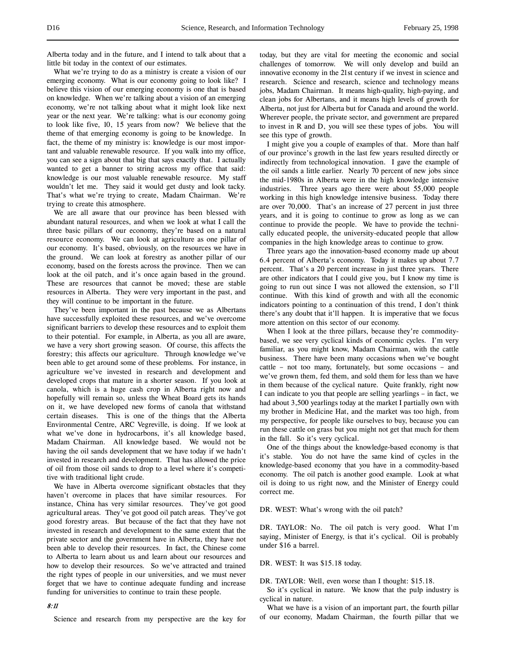Alberta today and in the future, and I intend to talk about that a little bit today in the context of our estimates.

What we're trying to do as a ministry is create a vision of our emerging economy. What is our economy going to look like? I believe this vision of our emerging economy is one that is based on knowledge. When we're talking about a vision of an emerging economy, we're not talking about what it might look like next year or the next year. We're talking: what is our economy going to look like five, 10, 15 years from now? We believe that the theme of that emerging economy is going to be knowledge. In fact, the theme of my ministry is: knowledge is our most important and valuable renewable resource. If you walk into my office, you can see a sign about that big that says exactly that. I actually wanted to get a banner to string across my office that said: knowledge is our most valuable renewable resource. My staff wouldn't let me. They said it would get dusty and look tacky. That's what we're trying to create, Madam Chairman. We're trying to create this atmosphere.

We are all aware that our province has been blessed with abundant natural resources, and when we look at what I call the three basic pillars of our economy, they're based on a natural resource economy. We can look at agriculture as one pillar of our economy. It's based, obviously, on the resources we have in the ground. We can look at forestry as another pillar of our economy, based on the forests across the province. Then we can look at the oil patch, and it's once again based in the ground. These are resources that cannot be moved; these are stable resources in Alberta. They were very important in the past, and they will continue to be important in the future.

They've been important in the past because we as Albertans have successfully exploited these resources, and we've overcome significant barriers to develop these resources and to exploit them to their potential. For example, in Alberta, as you all are aware, we have a very short growing season. Of course, this affects the forestry; this affects our agriculture. Through knowledge we've been able to get around some of these problems. For instance, in agriculture we've invested in research and development and developed crops that mature in a shorter season. If you look at canola, which is a huge cash crop in Alberta right now and hopefully will remain so, unless the Wheat Board gets its hands on it, we have developed new forms of canola that withstand certain diseases. This is one of the things that the Alberta Environmental Centre, ARC Vegreville, is doing. If we look at what we've done in hydrocarbons, it's all knowledge based, Madam Chairman. All knowledge based. We would not be having the oil sands development that we have today if we hadn't invested in research and development. That has allowed the price of oil from those oil sands to drop to a level where it's competitive with traditional light crude.

We have in Alberta overcome significant obstacles that they haven't overcome in places that have similar resources. For instance, China has very similar resources. They've got good agricultural areas. They've got good oil patch areas. They've got good forestry areas. But because of the fact that they have not invested in research and development to the same extent that the private sector and the government have in Alberta, they have not been able to develop their resources. In fact, the Chinese come to Alberta to learn about us and learn about our resources and how to develop their resources. So we've attracted and trained the right types of people in our universities, and we must never forget that we have to continue adequate funding and increase funding for universities to continue to train these people.

#### 8:11

Science and research from my perspective are the key for

today, but they are vital for meeting the economic and social challenges of tomorrow. We will only develop and build an innovative economy in the 21st century if we invest in science and research. Science and research, science and technology means jobs, Madam Chairman. It means high-quality, high-paying, and clean jobs for Albertans, and it means high levels of growth for Alberta, not just for Alberta but for Canada and around the world. Wherever people, the private sector, and government are prepared to invest in R and D, you will see these types of jobs. You will see this type of growth.

I might give you a couple of examples of that. More than half of our province's growth in the last few years resulted directly or indirectly from technological innovation. I gave the example of the oil sands a little earlier. Nearly 70 percent of new jobs since the mid-1980s in Alberta were in the high knowledge intensive industries. Three years ago there were about 55,000 people working in this high knowledge intensive business. Today there are over 70,000. That's an increase of 27 percent in just three years, and it is going to continue to grow as long as we can continue to provide the people. We have to provide the technically educated people, the university-educated people that allow companies in the high knowledge areas to continue to grow.

Three years ago the innovation-based economy made up about 6.4 percent of Alberta's economy. Today it makes up about 7.7 percent. That's a 20 percent increase in just three years. There are other indicators that I could give you, but I know my time is going to run out since I was not allowed the extension, so I'll continue. With this kind of growth and with all the economic indicators pointing to a continuation of this trend, I don't think there's any doubt that it'll happen. It is imperative that we focus more attention on this sector of our economy.

When I look at the three pillars, because they're commoditybased, we see very cyclical kinds of economic cycles. I'm very familiar, as you might know, Madam Chairman, with the cattle business. There have been many occasions when we've bought cattle – not too many, fortunately, but some occasions – and we've grown them, fed them, and sold them for less than we have in them because of the cyclical nature. Quite frankly, right now I can indicate to you that people are selling yearlings – in fact, we had about 3,500 yearlings today at the market I partially own with my brother in Medicine Hat, and the market was too high, from my perspective, for people like ourselves to buy, because you can run these cattle on grass but you might not get that much for them in the fall. So it's very cyclical.

One of the things about the knowledge-based economy is that it's stable. You do not have the same kind of cycles in the knowledge-based economy that you have in a commodity-based economy. The oil patch is another good example. Look at what oil is doing to us right now, and the Minister of Energy could correct me.

DR. WEST: What's wrong with the oil patch?

DR. TAYLOR: No. The oil patch is very good. What I'm saying, Minister of Energy, is that it's cyclical. Oil is probably under \$16 a barrel.

## DR. WEST: It was \$15.18 today.

DR. TAYLOR: Well, even worse than I thought: \$15.18.

So it's cyclical in nature. We know that the pulp industry is cyclical in nature.

What we have is a vision of an important part, the fourth pillar of our economy, Madam Chairman, the fourth pillar that we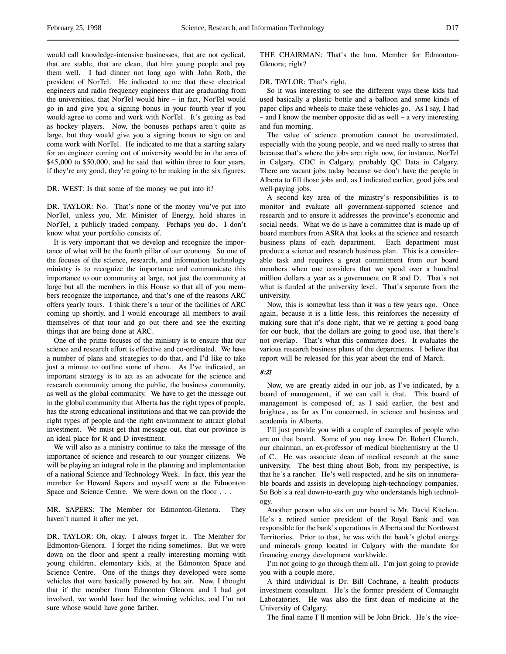would call knowledge-intensive businesses, that are not cyclical, that are stable, that are clean, that hire young people and pay them well. I had dinner not long ago with John Roth, the president of NorTel. He indicated to me that these electrical engineers and radio frequency engineers that are graduating from the universities, that NorTel would hire – in fact, NorTel would go in and give you a signing bonus in your fourth year if you would agree to come and work with NorTel. It's getting as bad as hockey players. Now, the bonuses perhaps aren't quite as large, but they would give you a signing bonus to sign on and come work with NorTel. He indicated to me that a starting salary for an engineer coming out of university would be in the area of \$45,000 to \$50,000, and he said that within three to four years, if they're any good, they're going to be making in the six figures.

### DR. WEST: Is that some of the money we put into it?

DR. TAYLOR: No. That's none of the money you've put into NorTel, unless you, Mr. Minister of Energy, hold shares in NorTel, a publicly traded company. Perhaps you do. I don't know what your portfolio consists of.

It is very important that we develop and recognize the importance of what will be the fourth pillar of our economy. So one of the focuses of the science, research, and information technology ministry is to recognize the importance and communicate this importance to our community at large, not just the community at large but all the members in this House so that all of you members recognize the importance, and that's one of the reasons ARC offers yearly tours. I think there's a tour of the facilities of ARC coming up shortly, and I would encourage all members to avail themselves of that tour and go out there and see the exciting things that are being done at ARC.

One of the prime focuses of the ministry is to ensure that our science and research effort is effective and co-ordinated. We have a number of plans and strategies to do that, and I'd like to take just a minute to outline some of them. As I've indicated, an important strategy is to act as an advocate for the science and research community among the public, the business community, as well as the global community. We have to get the message out in the global community that Alberta has the right types of people, has the strong educational institutions and that we can provide the right types of people and the right environment to attract global investment. We must get that message out, that our province is an ideal place for R and D investment.

We will also as a ministry continue to take the message of the importance of science and research to our younger citizens. We will be playing an integral role in the planning and implementation of a national Science and Technology Week. In fact, this year the member for Howard Sapers and myself were at the Edmonton Space and Science Centre. We were down on the floor . . .

MR. SAPERS: The Member for Edmonton-Glenora. They haven't named it after me yet.

DR. TAYLOR: Oh, okay. I always forget it. The Member for Edmonton-Glenora. I forget the riding sometimes. But we were down on the floor and spent a really interesting morning with young children, elementary kids, at the Edmonton Space and Science Centre. One of the things they developed were some vehicles that were basically powered by hot air. Now, I thought that if the member from Edmonton Glenora and I had got involved, we would have had the winning vehicles, and I'm not sure whose would have gone farther.

THE CHAIRMAN: That's the hon. Member for Edmonton-Glenora; right?

### DR. TAYLOR: That's right.

So it was interesting to see the different ways these kids had used basically a plastic bottle and a balloon and some kinds of paper clips and wheels to make these vehicles go. As I say, I had – and I know the member opposite did as well – a very interesting and fun morning.

The value of science promotion cannot be overestimated, especially with the young people, and we need really to stress that because that's where the jobs are: right now, for instance, NorTel in Calgary, CDC in Calgary, probably QC Data in Calgary. There are vacant jobs today because we don't have the people in Alberta to fill those jobs and, as I indicated earlier, good jobs and well-paying jobs.

A second key area of the ministry's responsibilities is to monitor and evaluate all government-supported science and research and to ensure it addresses the province's economic and social needs. What we do is have a committee that is made up of board members from ASRA that looks at the science and research business plans of each department. Each department must produce a science and research business plan. This is a considerable task and requires a great commitment from our board members when one considers that we spend over a hundred million dollars a year as a government on R and D. That's not what is funded at the university level. That's separate from the university.

Now, this is somewhat less than it was a few years ago. Once again, because it is a little less, this reinforces the necessity of making sure that it's done right, that we're getting a good bang for our buck, that the dollars are going to good use, that there's not overlap. That's what this committee does. It evaluates the various research business plans of the departments. I believe that report will be released for this year about the end of March.

# 8:21

Now, we are greatly aided in our job, as I've indicated, by a board of management, if we can call it that. This board of management is composed of, as I said earlier, the best and brightest, as far as I'm concerned, in science and business and academia in Alberta.

I'll just provide you with a couple of examples of people who are on that board. Some of you may know Dr. Robert Church, our chairman, an ex-professor of medical biochemistry at the U of C. He was associate dean of medical research at the same university. The best thing about Bob, from my perspective, is that he's a rancher. He's well respected, and he sits on innumerable boards and assists in developing high-technology companies. So Bob's a real down-to-earth guy who understands high technology.

Another person who sits on our board is Mr. David Kitchen. He's a retired senior president of the Royal Bank and was responsible for the bank's operations in Alberta and the Northwest Territories. Prior to that, he was with the bank's global energy and minerals group located in Calgary with the mandate for financing energy development worldwide.

I'm not going to go through them all. I'm just going to provide you with a couple more.

A third individual is Dr. Bill Cochrane, a health products investment consultant. He's the former president of Connaught Laboratories. He was also the first dean of medicine at the University of Calgary.

The final name I'll mention will be John Brick. He's the vice-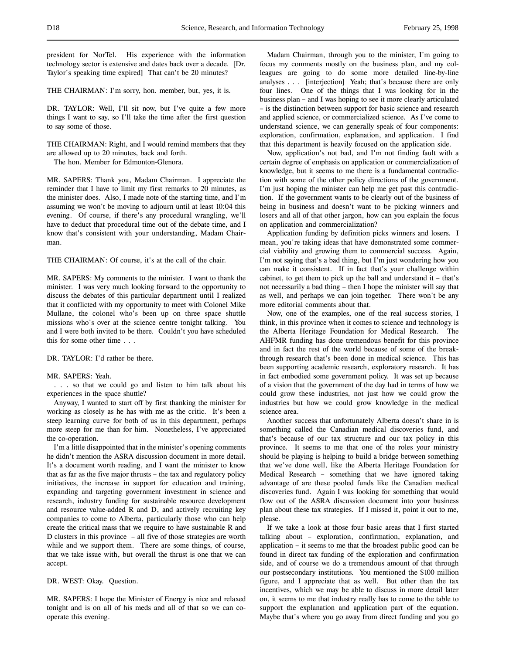THE CHAIRMAN: I'm sorry, hon. member, but, yes, it is.

DR. TAYLOR: Well, I'll sit now, but I've quite a few more things I want to say, so I'll take the time after the first question to say some of those.

THE CHAIRMAN: Right, and I would remind members that they are allowed up to 20 minutes, back and forth.

The hon. Member for Edmonton-Glenora.

MR. SAPERS: Thank you, Madam Chairman. I appreciate the reminder that I have to limit my first remarks to 20 minutes, as the minister does. Also, I made note of the starting time, and I'm assuming we won't be moving to adjourn until at least 10:04 this evening. Of course, if there's any procedural wrangling, we'll have to deduct that procedural time out of the debate time, and I know that's consistent with your understanding, Madam Chairman.

THE CHAIRMAN: Of course, it's at the call of the chair.

MR. SAPERS: My comments to the minister. I want to thank the minister. I was very much looking forward to the opportunity to discuss the debates of this particular department until I realized that it conflicted with my opportunity to meet with Colonel Mike Mullane, the colonel who's been up on three space shuttle missions who's over at the science centre tonight talking. You and I were both invited to be there. Couldn't you have scheduled this for some other time . . .

DR. TAYLOR: I'd rather be there.

## MR. SAPERS: Yeah.

. . . so that we could go and listen to him talk about his experiences in the space shuttle?

Anyway, I wanted to start off by first thanking the minister for working as closely as he has with me as the critic. It's been a steep learning curve for both of us in this department, perhaps more steep for me than for him. Nonetheless, I've appreciated the co-operation.

I'm a little disappointed that in the minister's opening comments he didn't mention the ASRA discussion document in more detail. It's a document worth reading, and I want the minister to know that as far as the five major thrusts – the tax and regulatory policy initiatives, the increase in support for education and training, expanding and targeting government investment in science and research, industry funding for sustainable resource development and resource value-added R and D, and actively recruiting key companies to come to Alberta, particularly those who can help create the critical mass that we require to have sustainable R and D clusters in this province – all five of those strategies are worth while and we support them. There are some things, of course, that we take issue with, but overall the thrust is one that we can accept.

DR. WEST: Okay. Question.

MR. SAPERS: I hope the Minister of Energy is nice and relaxed tonight and is on all of his meds and all of that so we can cooperate this evening.

Madam Chairman, through you to the minister, I'm going to focus my comments mostly on the business plan, and my colleagues are going to do some more detailed line-by-line analyses . . . [interjection] Yeah; that's because there are only four lines. One of the things that I was looking for in the business plan – and I was hoping to see it more clearly articulated – is the distinction between support for basic science and research and applied science, or commercialized science. As I've come to understand science, we can generally speak of four components: exploration, confirmation, explanation, and application. I find that this department is heavily focused on the application side.

Now, application's not bad, and I'm not finding fault with a certain degree of emphasis on application or commercialization of knowledge, but it seems to me there is a fundamental contradiction with some of the other policy directions of the government. I'm just hoping the minister can help me get past this contradiction. If the government wants to be clearly out of the business of being in business and doesn't want to be picking winners and losers and all of that other jargon, how can you explain the focus on application and commercialization?

Application funding by definition picks winners and losers. I mean, you're taking ideas that have demonstrated some commercial viability and growing them to commercial success. Again, I'm not saying that's a bad thing, but I'm just wondering how you can make it consistent. If in fact that's your challenge within cabinet, to get them to pick up the ball and understand it – that's not necessarily a bad thing – then I hope the minister will say that as well, and perhaps we can join together. There won't be any more editorial comments about that.

Now, one of the examples, one of the real success stories, I think, in this province when it comes to science and technology is the Alberta Heritage Foundation for Medical Research. The AHFMR funding has done tremendous benefit for this province and in fact the rest of the world because of some of the breakthrough research that's been done in medical science. This has been supporting academic research, exploratory research. It has in fact embodied some government policy. It was set up because of a vision that the government of the day had in terms of how we could grow these industries, not just how we could grow the industries but how we could grow knowledge in the medical science area.

Another success that unfortunately Alberta doesn't share in is something called the Canadian medical discoveries fund, and that's because of our tax structure and our tax policy in this province. It seems to me that one of the roles your ministry should be playing is helping to build a bridge between something that we've done well, like the Alberta Heritage Foundation for Medical Research – something that we have ignored taking advantage of are these pooled funds like the Canadian medical discoveries fund. Again I was looking for something that would flow out of the ASRA discussion document into your business plan about these tax strategies. If I missed it, point it out to me, please.

If we take a look at those four basic areas that I first started talking about – exploration, confirmation, explanation, and application – it seems to me that the broadest public good can be found in direct tax funding of the exploration and confirmation side, and of course we do a tremendous amount of that through our postsecondary institutions. You mentioned the \$100 million figure, and I appreciate that as well. But other than the tax incentives, which we may be able to discuss in more detail later on, it seems to me that industry really has to come to the table to support the explanation and application part of the equation. Maybe that's where you go away from direct funding and you go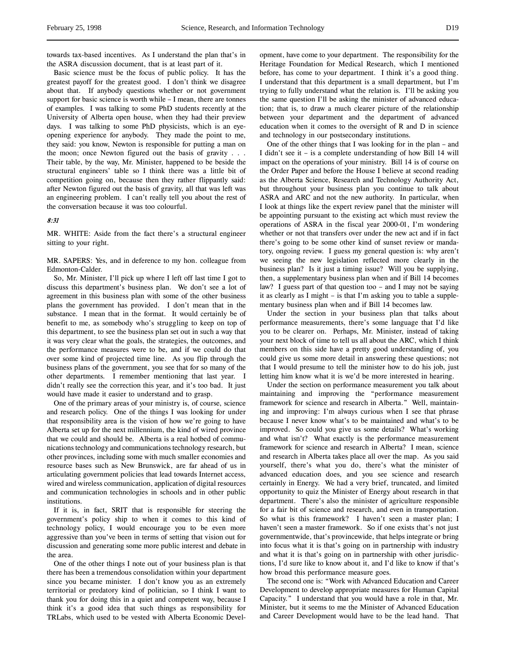towards tax-based incentives. As I understand the plan that's in the ASRA discussion document, that is at least part of it.

Basic science must be the focus of public policy. It has the greatest payoff for the greatest good. I don't think we disagree about that. If anybody questions whether or not government support for basic science is worth while – I mean, there are tonnes of examples. I was talking to some PhD students recently at the University of Alberta open house, when they had their preview days. I was talking to some PhD physicists, which is an eyeopening experience for anybody. They made the point to me, they said: you know, Newton is responsible for putting a man on the moon; once Newton figured out the basis of gravity . . . Their table, by the way, Mr. Minister, happened to be beside the structural engineers' table so I think there was a little bit of competition going on, because then they rather flippantly said: after Newton figured out the basis of gravity, all that was left was an engineering problem. I can't really tell you about the rest of the conversation because it was too colourful.

## 8:31

MR. WHITE: Aside from the fact there's a structural engineer sitting to your right.

MR. SAPERS: Yes, and in deference to my hon. colleague from Edmonton-Calder.

So, Mr. Minister, I'll pick up where I left off last time I got to discuss this department's business plan. We don't see a lot of agreement in this business plan with some of the other business plans the government has provided. I don't mean that in the substance. I mean that in the format. It would certainly be of benefit to me, as somebody who's struggling to keep on top of this department, to see the business plan set out in such a way that it was very clear what the goals, the strategies, the outcomes, and the performance measures were to be, and if we could do that over some kind of projected time line. As you flip through the business plans of the government, you see that for so many of the other departments. I remember mentioning that last year. I didn't really see the correction this year, and it's too bad. It just would have made it easier to understand and to grasp.

One of the primary areas of your ministry is, of course, science and research policy. One of the things I was looking for under that responsibility area is the vision of how we're going to have Alberta set up for the next millennium, the kind of wired province that we could and should be. Alberta is a real hotbed of communications technology and communications technology research, but other provinces, including some with much smaller economies and resource bases such as New Brunswick, are far ahead of us in articulating government policies that lead towards Internet access, wired and wireless communication, application of digital resources and communication technologies in schools and in other public institutions.

If it is, in fact, SRIT that is responsible for steering the government's policy ship to when it comes to this kind of technology policy, I would encourage you to be even more aggressive than you've been in terms of setting that vision out for discussion and generating some more public interest and debate in the area.

One of the other things I note out of your business plan is that there has been a tremendous consolidation within your department since you became minister. I don't know you as an extremely territorial or predatory kind of politician, so I think I want to thank you for doing this in a quiet and competent way, because I think it's a good idea that such things as responsibility for TRLabs, which used to be vested with Alberta Economic Development, have come to your department. The responsibility for the Heritage Foundation for Medical Research, which I mentioned before, has come to your department. I think it's a good thing. I understand that this department is a small department, but I'm trying to fully understand what the relation is. I'll be asking you the same question I'll be asking the minister of advanced education; that is, to draw a much clearer picture of the relationship between your department and the department of advanced education when it comes to the oversight of R and D in science and technology in our postsecondary institutions.

One of the other things that I was looking for in the plan – and I didn't see it – is a complete understanding of how Bill 14 will impact on the operations of your ministry. Bill 14 is of course on the Order Paper and before the House I believe at second reading as the Alberta Science, Research and Technology Authority Act, but throughout your business plan you continue to talk about ASRA and ARC and not the new authority. In particular, when I look at things like the expert review panel that the minister will be appointing pursuant to the existing act which must review the operations of ASRA in the fiscal year 2000-01, I'm wondering whether or not that transfers over under the new act and if in fact there's going to be some other kind of sunset review or mandatory, ongoing review. I guess my general question is: why aren't we seeing the new legislation reflected more clearly in the business plan? Is it just a timing issue? Will you be supplying, then, a supplementary business plan when and if Bill 14 becomes law? I guess part of that question too – and I may not be saying it as clearly as I might – is that I'm asking you to table a supplementary business plan when and if Bill 14 becomes law.

Under the section in your business plan that talks about performance measurements, there's some language that I'd like you to be clearer on. Perhaps, Mr. Minister, instead of taking your next block of time to tell us all about the ARC, which I think members on this side have a pretty good understanding of, you could give us some more detail in answering these questions; not that I would presume to tell the minister how to do his job, just letting him know what it is we'd be more interested in hearing.

Under the section on performance measurement you talk about maintaining and improving the "performance measurement framework for science and research in Alberta." Well, maintaining and improving: I'm always curious when I see that phrase because I never know what's to be maintained and what's to be improved. So could you give us some details? What's working and what isn't? What exactly is the performance measurement framework for science and research in Alberta? I mean, science and research in Alberta takes place all over the map. As you said yourself, there's what you do, there's what the minister of advanced education does, and you see science and research certainly in Energy. We had a very brief, truncated, and limited opportunity to quiz the Minister of Energy about research in that department. There's also the minister of agriculture responsible for a fair bit of science and research, and even in transportation. So what is this framework? I haven't seen a master plan; I haven't seen a master framework. So if one exists that's not just governmentwide, that's provincewide, that helps integrate or bring into focus what it is that's going on in partnership with industry and what it is that's going on in partnership with other jurisdictions, I'd sure like to know about it, and I'd like to know if that's how broad this performance measure goes.

The second one is: "Work with Advanced Education and Career Development to develop appropriate measures for Human Capital Capacity." I understand that you would have a role in that, Mr. Minister, but it seems to me the Minister of Advanced Education and Career Development would have to be the lead hand. That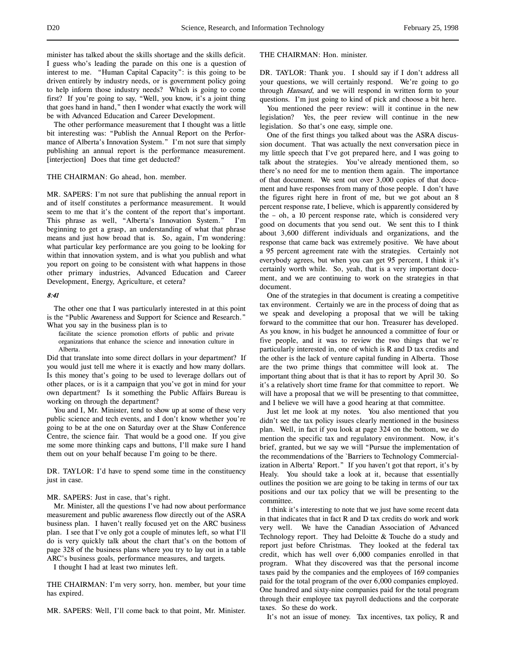minister has talked about the skills shortage and the skills deficit. I guess who's leading the parade on this one is a question of interest to me. "Human Capital Capacity": is this going to be driven entirely by industry needs, or is government policy going to help inform those industry needs? Which is going to come first? If you're going to say, "Well, you know, it's a joint thing that goes hand in hand," then I wonder what exactly the work will be with Advanced Education and Career Development.

The other performance measurement that I thought was a little bit interesting was: "Publish the Annual Report on the Performance of Alberta's Innovation System." I'm not sure that simply publishing an annual report is the performance measurement. [interjection] Does that time get deducted?

## THE CHAIRMAN: Go ahead, hon. member.

MR. SAPERS: I'm not sure that publishing the annual report in and of itself constitutes a performance measurement. It would seem to me that it's the content of the report that's important. This phrase as well, "Alberta's Innovation System." I'm beginning to get a grasp, an understanding of what that phrase means and just how broad that is. So, again, I'm wondering: what particular key performance are you going to be looking for within that innovation system, and is what you publish and what you report on going to be consistent with what happens in those other primary industries, Advanced Education and Career Development, Energy, Agriculture, et cetera?

#### 8:41

The other one that I was particularly interested in at this point is the "Public Awareness and Support for Science and Research." What you say in the business plan is to

facilitate the science promotion efforts of public and private organizations that enhance the science and innovation culture in Alberta.

Did that translate into some direct dollars in your department? If you would just tell me where it is exactly and how many dollars. Is this money that's going to be used to leverage dollars out of other places, or is it a campaign that you've got in mind for your own department? Is it something the Public Affairs Bureau is working on through the department?

You and I, Mr. Minister, tend to show up at some of these very public science and tech events, and I don't know whether you're going to be at the one on Saturday over at the Shaw Conference Centre, the science fair. That would be a good one. If you give me some more thinking caps and buttons, I'll make sure I hand them out on your behalf because I'm going to be there.

DR. TAYLOR: I'd have to spend some time in the constituency just in case.

### MR. SAPERS: Just in case, that's right.

Mr. Minister, all the questions I've had now about performance measurement and public awareness flow directly out of the ASRA business plan. I haven't really focused yet on the ARC business plan. I see that I've only got a couple of minutes left, so what I'll do is very quickly talk about the chart that's on the bottom of page 328 of the business plans where you try to lay out in a table ARC's business goals, performance measures, and targets.

I thought I had at least two minutes left.

THE CHAIRMAN: I'm very sorry, hon. member, but your time has expired.

MR. SAPERS: Well, I'll come back to that point, Mr. Minister.

# THE CHAIRMAN: Hon. minister.

DR. TAYLOR: Thank you. I should say if I don't address all your questions, we will certainly respond. We're going to go through Hansard, and we will respond in written form to your questions. I'm just going to kind of pick and choose a bit here.

You mentioned the peer review: will it continue in the new legislation? Yes, the peer review will continue in the new legislation. So that's one easy, simple one.

One of the first things you talked about was the ASRA discussion document. That was actually the next conversation piece in my little speech that I've got prepared here, and I was going to talk about the strategies. You've already mentioned them, so there's no need for me to mention them again. The importance of that document. We sent out over 3,000 copies of that document and have responses from many of those people. I don't have the figures right here in front of me, but we got about an 8 percent response rate, I believe, which is apparently considered by the – oh, a 10 percent response rate, which is considered very good on documents that you send out. We sent this to I think about 3,600 different individuals and organizations, and the response that came back was extremely positive. We have about a 95 percent agreement rate with the strategies. Certainly not everybody agrees, but when you can get 95 percent, I think it's certainly worth while. So, yeah, that is a very important document, and we are continuing to work on the strategies in that document.

One of the strategies in that document is creating a competitive tax environment. Certainly we are in the process of doing that as we speak and developing a proposal that we will be taking forward to the committee that our hon. Treasurer has developed. As you know, in his budget he announced a committee of four or five people, and it was to review the two things that we're particularly interested in, one of which is R and D tax credits and the other is the lack of venture capital funding in Alberta. Those are the two prime things that committee will look at. The important thing about that is that it has to report by April 30. So it's a relatively short time frame for that committee to report. We will have a proposal that we will be presenting to that committee, and I believe we will have a good hearing at that committee.

Just let me look at my notes. You also mentioned that you didn't see the tax policy issues clearly mentioned in the business plan. Well, in fact if you look at page 324 on the bottom, we do mention the specific tax and regulatory environment. Now, it's brief, granted, but we say we will "Pursue the implementation of the recommendations of the `Barriers to Technology Commercialization in Alberta' Report." If you haven't got that report, it's by Healy. You should take a look at it, because that essentially outlines the position we are going to be taking in terms of our tax positions and our tax policy that we will be presenting to the committee.

I think it's interesting to note that we just have some recent data in that indicates that in fact R and D tax credits do work and work very well. We have the Canadian Association of Advanced Technology report. They had Deloitte & Touche do a study and report just before Christmas. They looked at the federal tax credit, which has well over 6,000 companies enrolled in that program. What they discovered was that the personal income taxes paid by the companies and the employees of 169 companies paid for the total program of the over 6,000 companies employed. One hundred and sixty-nine companies paid for the total program through their employee tax payroll deductions and the corporate taxes. So these do work.

It's not an issue of money. Tax incentives, tax policy, R and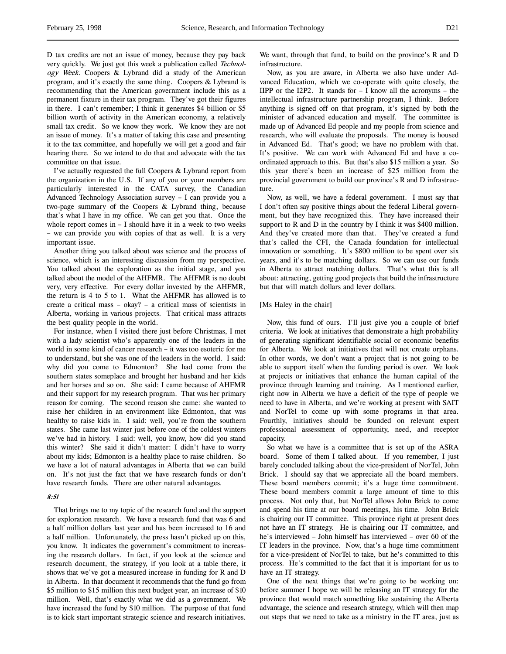D tax credits are not an issue of money, because they pay back very quickly. We just got this week a publication called Technology Week. Coopers & Lybrand did a study of the American program, and it's exactly the same thing. Coopers & Lybrand is recommending that the American government include this as a permanent fixture in their tax program. They've got their figures in there. I can't remember; I think it generates \$4 billion or \$5 billion worth of activity in the American economy, a relatively small tax credit. So we know they work. We know they are not an issue of money. It's a matter of taking this case and presenting it to the tax committee, and hopefully we will get a good and fair hearing there. So we intend to do that and advocate with the tax committee on that issue.

I've actually requested the full Coopers & Lybrand report from the organization in the U.S. If any of you or your members are particularly interested in the CATA survey, the Canadian Advanced Technology Association survey – I can provide you a two-page summary of the Coopers & Lybrand thing, because that's what I have in my office. We can get you that. Once the whole report comes in – I should have it in a week to two weeks – we can provide you with copies of that as well. It is a very important issue.

Another thing you talked about was science and the process of science, which is an interesting discussion from my perspective. You talked about the exploration as the initial stage, and you talked about the model of the AHFMR. The AHFMR is no doubt very, very effective. For every dollar invested by the AHFMR, the return is 4 to 5 to 1. What the AHFMR has allowed is to create a critical mass – okay? – a critical mass of scientists in Alberta, working in various projects. That critical mass attracts the best quality people in the world.

For instance, when I visited there just before Christmas, I met with a lady scientist who's apparently one of the leaders in the world in some kind of cancer research – it was too esoteric for me to understand, but she was one of the leaders in the world. I said: why did you come to Edmonton? She had come from the southern states someplace and brought her husband and her kids and her horses and so on. She said: I came because of AHFMR and their support for my research program. That was her primary reason for coming. The second reason she came: she wanted to raise her children in an environment like Edmonton, that was healthy to raise kids in. I said: well, you're from the southern states. She came last winter just before one of the coldest winters we've had in history. I said: well, you know, how did you stand this winter? She said it didn't matter: I didn't have to worry about my kids; Edmonton is a healthy place to raise children. So we have a lot of natural advantages in Alberta that we can build on. It's not just the fact that we have research funds or don't have research funds. There are other natural advantages.

### 8:51

That brings me to my topic of the research fund and the support for exploration research. We have a research fund that was 6 and a half million dollars last year and has been increased to 16 and a half million. Unfortunately, the press hasn't picked up on this, you know. It indicates the government's commitment to increasing the research dollars. In fact, if you look at the science and research document, the strategy, if you look at a table there, it shows that we've got a measured increase in funding for R and D in Alberta. In that document it recommends that the fund go from \$5 million to \$15 million this next budget year, an increase of \$10 million. Well, that's exactly what we did as a government. We have increased the fund by \$10 million. The purpose of that fund is to kick start important strategic science and research initiatives.

We want, through that fund, to build on the province's R and D infrastructure.

Now, as you are aware, in Alberta we also have under Advanced Education, which we co-operate with quite closely, the IIPP or the I2P2. It stands for – I know all the acronyms – the intellectual infrastructure partnership program, I think. Before anything is signed off on that program, it's signed by both the minister of advanced education and myself. The committee is made up of Advanced Ed people and my people from science and research, who will evaluate the proposals. The money is housed in Advanced Ed. That's good; we have no problem with that. It's positive. We can work with Advanced Ed and have a coordinated approach to this. But that's also \$15 million a year. So this year there's been an increase of \$25 million from the provincial government to build our province's R and D infrastructure.

Now, as well, we have a federal government. I must say that I don't often say positive things about the federal Liberal government, but they have recognized this. They have increased their support to R and D in the country by I think it was \$400 million. And they've created more than that. They've created a fund that's called the CFI, the Canada foundation for intellectual innovation or something. It's \$800 million to be spent over six years, and it's to be matching dollars. So we can use our funds in Alberta to attract matching dollars. That's what this is all about: attracting, getting good projects that build the infrastructure but that will match dollars and lever dollars.

### [Ms Haley in the chair]

Now, this fund of ours. I'll just give you a couple of brief criteria. We look at initiatives that demonstrate a high probability of generating significant identifiable social or economic benefits for Alberta. We look at initiatives that will not create orphans. In other words, we don't want a project that is not going to be able to support itself when the funding period is over. We look at projects or initiatives that enhance the human capital of the province through learning and training. As I mentioned earlier, right now in Alberta we have a deficit of the type of people we need to have in Alberta, and we're working at present with SAIT and NorTel to come up with some programs in that area. Fourthly, initiatives should be founded on relevant expert professional assessment of opportunity, need, and receptor capacity.

So what we have is a committee that is set up of the ASRA board. Some of them I talked about. If you remember, I just barely concluded talking about the vice-president of NorTel, John Brick. I should say that we appreciate all the board members. These board members commit; it's a huge time commitment. These board members commit a large amount of time to this process. Not only that, but NorTel allows John Brick to come and spend his time at our board meetings, his time. John Brick is chairing our IT committee. This province right at present does not have an IT strategy. He is chairing our IT committee, and he's interviewed – John himself has interviewed – over 60 of the IT leaders in the province. Now, that's a huge time commitment for a vice-president of NorTel to take, but he's committed to this process. He's committed to the fact that it is important for us to have an IT strategy.

One of the next things that we're going to be working on: before summer I hope we will be releasing an IT strategy for the province that would match something like sustaining the Alberta advantage, the science and research strategy, which will then map out steps that we need to take as a ministry in the IT area, just as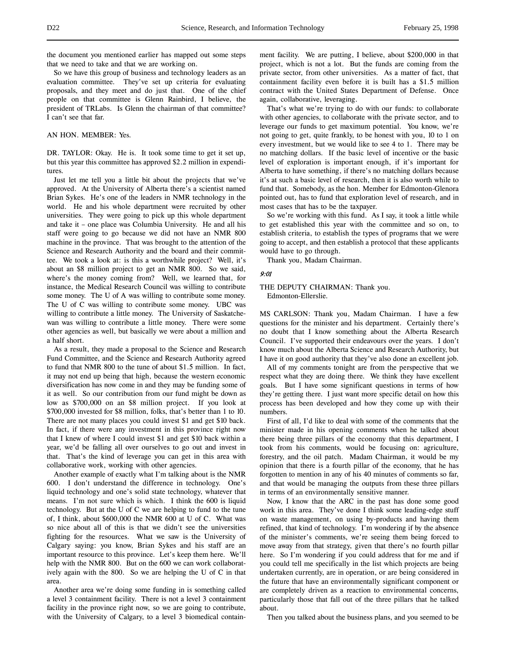the document you mentioned earlier has mapped out some steps that we need to take and that we are working on.

So we have this group of business and technology leaders as an evaluation committee. They've set up criteria for evaluating proposals, and they meet and do just that. One of the chief people on that committee is Glenn Rainbird, I believe, the president of TRLabs. Is Glenn the chairman of that committee? I can't see that far.

# AN HON. MEMBER: Yes.

DR. TAYLOR: Okay. He is. It took some time to get it set up, but this year this committee has approved \$2.2 million in expenditures.

Just let me tell you a little bit about the projects that we've approved. At the University of Alberta there's a scientist named Brian Sykes. He's one of the leaders in NMR technology in the world. He and his whole department were recruited by other universities. They were going to pick up this whole department and take it – one place was Columbia University. He and all his staff were going to go because we did not have an NMR 800 machine in the province. That was brought to the attention of the Science and Research Authority and the board and their committee. We took a look at: is this a worthwhile project? Well, it's about an \$8 million project to get an NMR 800. So we said, where's the money coming from? Well, we learned that, for instance, the Medical Research Council was willing to contribute some money. The U of A was willing to contribute some money. The U of C was willing to contribute some money. UBC was willing to contribute a little money. The University of Saskatchewan was willing to contribute a little money. There were some other agencies as well, but basically we were about a million and a half short.

As a result, they made a proposal to the Science and Research Fund Committee, and the Science and Research Authority agreed to fund that NMR 800 to the tune of about \$1.5 million. In fact, it may not end up being that high, because the western economic diversification has now come in and they may be funding some of it as well. So our contribution from our fund might be down as low as \$700,000 on an \$8 million project. If you look at \$700,000 invested for \$8 million, folks, that's better than 1 to 10. There are not many places you could invest \$1 and get \$10 back. In fact, if there were any investment in this province right now that I knew of where I could invest \$1 and get \$10 back within a year, we'd be falling all over ourselves to go out and invest in that. That's the kind of leverage you can get in this area with collaborative work, working with other agencies.

Another example of exactly what I'm talking about is the NMR 600. I don't understand the difference in technology. One's liquid technology and one's solid state technology, whatever that means. I'm not sure which is which. I think the 600 is liquid technology. But at the U of C we are helping to fund to the tune of, I think, about \$600,000 the NMR 600 at U of C. What was so nice about all of this is that we didn't see the universities fighting for the resources. What we saw is the University of Calgary saying: you know, Brian Sykes and his staff are an important resource to this province. Let's keep them here. We'll help with the NMR 800. But on the 600 we can work collaboratively again with the 800. So we are helping the U of C in that area.

Another area we're doing some funding in is something called a level 3 containment facility. There is not a level 3 containment facility in the province right now, so we are going to contribute, with the University of Calgary, to a level 3 biomedical containment facility. We are putting, I believe, about \$200,000 in that project, which is not a lot. But the funds are coming from the private sector, from other universities. As a matter of fact, that containment facility even before it is built has a \$1.5 million contract with the United States Department of Defense. Once again, collaborative, leveraging.

That's what we're trying to do with our funds: to collaborate with other agencies, to collaborate with the private sector, and to leverage our funds to get maximum potential. You know, we're not going to get, quite frankly, to be honest with you, 10 to 1 on every investment, but we would like to see 4 to 1. There may be no matching dollars. If the basic level of incentive or the basic level of exploration is important enough, if it's important for Alberta to have something, if there's no matching dollars because it's at such a basic level of research, then it is also worth while to fund that. Somebody, as the hon. Member for Edmonton-Glenora pointed out, has to fund that exploration level of research, and in most cases that has to be the taxpayer.

So we're working with this fund. As I say, it took a little while to get established this year with the committee and so on, to establish criteria, to establish the types of programs that we were going to accept, and then establish a protocol that these applicants would have to go through.

Thank you, Madam Chairman.

## 9:01

## THE DEPUTY CHAIRMAN: Thank you. Edmonton-Ellerslie.

MS CARLSON: Thank you, Madam Chairman. I have a few questions for the minister and his department. Certainly there's no doubt that I know something about the Alberta Research Council. I've supported their endeavours over the years. I don't know much about the Alberta Science and Research Authority, but I have it on good authority that they've also done an excellent job.

All of my comments tonight are from the perspective that we respect what they are doing there. We think they have excellent goals. But I have some significant questions in terms of how they're getting there. I just want more specific detail on how this process has been developed and how they come up with their numbers.

First of all, I'd like to deal with some of the comments that the minister made in his opening comments when he talked about there being three pillars of the economy that this department, I took from his comments, would be focusing on: agriculture, forestry, and the oil patch. Madam Chairman, it would be my opinion that there is a fourth pillar of the economy, that he has forgotten to mention in any of his 40 minutes of comments so far, and that would be managing the outputs from these three pillars in terms of an environmentally sensitive manner.

Now, I know that the ARC in the past has done some good work in this area. They've done I think some leading-edge stuff on waste management, on using by-products and having them refined, that kind of technology. I'm wondering if by the absence of the minister's comments, we're seeing them being forced to move away from that strategy, given that there's no fourth pillar here. So I'm wondering if you could address that for me and if you could tell me specifically in the list which projects are being undertaken currently, are in operation, or are being considered in the future that have an environmentally significant component or are completely driven as a reaction to environmental concerns, particularly those that fall out of the three pillars that he talked about.

Then you talked about the business plans, and you seemed to be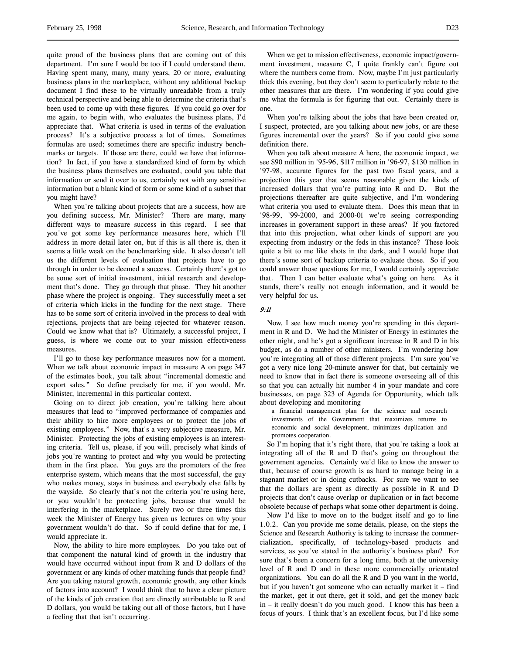quite proud of the business plans that are coming out of this department. I'm sure I would be too if I could understand them. Having spent many, many, many years, 20 or more, evaluating business plans in the marketplace, without any additional backup document I find these to be virtually unreadable from a truly technical perspective and being able to determine the criteria that's been used to come up with these figures. If you could go over for me again, to begin with, who evaluates the business plans, I'd appreciate that. What criteria is used in terms of the evaluation process? It's a subjective process a lot of times. Sometimes formulas are used; sometimes there are specific industry benchmarks or targets. If those are there, could we have that information? In fact, if you have a standardized kind of form by which the business plans themselves are evaluated, could you table that information or send it over to us, certainly not with any sensitive information but a blank kind of form or some kind of a subset that you might have?

When you're talking about projects that are a success, how are you defining success, Mr. Minister? There are many, many different ways to measure success in this regard. I see that you've got some key performance measures here, which I'll address in more detail later on, but if this is all there is, then it seems a little weak on the benchmarking side. It also doesn't tell us the different levels of evaluation that projects have to go through in order to be deemed a success. Certainly there's got to be some sort of initial investment, initial research and development that's done. They go through that phase. They hit another phase where the project is ongoing. They successfully meet a set of criteria which kicks in the funding for the next stage. There has to be some sort of criteria involved in the process to deal with rejections, projects that are being rejected for whatever reason. Could we know what that is? Ultimately, a successful project, I guess, is where we come out to your mission effectiveness measures.

I'll go to those key performance measures now for a moment. When we talk about economic impact in measure A on page 347 of the estimates book, you talk about "incremental domestic and export sales." So define precisely for me, if you would, Mr. Minister, incremental in this particular context.

Going on to direct job creation, you're talking here about measures that lead to "improved performance of companies and their ability to hire more employees or to protect the jobs of existing employees." Now, that's a very subjective measure, Mr. Minister. Protecting the jobs of existing employees is an interesting criteria. Tell us, please, if you will, precisely what kinds of jobs you're wanting to protect and why you would be protecting them in the first place. You guys are the promoters of the free enterprise system, which means that the most successful, the guy who makes money, stays in business and everybody else falls by the wayside. So clearly that's not the criteria you're using here, or you wouldn't be protecting jobs, because that would be interfering in the marketplace. Surely two or three times this week the Minister of Energy has given us lectures on why your government wouldn't do that. So if could define that for me, I would appreciate it.

Now, the ability to hire more employees. Do you take out of that component the natural kind of growth in the industry that would have occurred without input from R and D dollars of the government or any kinds of other matching funds that people find? Are you taking natural growth, economic growth, any other kinds of factors into account? I would think that to have a clear picture of the kinds of job creation that are directly attributable to R and D dollars, you would be taking out all of those factors, but I have a feeling that that isn't occurring.

When we get to mission effectiveness, economic impact/government investment, measure C, I quite frankly can't figure out where the numbers come from. Now, maybe I'm just particularly thick this evening, but they don't seem to particularly relate to the other measures that are there. I'm wondering if you could give me what the formula is for figuring that out. Certainly there is one.

When you're talking about the jobs that have been created or, I suspect, protected, are you talking about new jobs, or are these figures incremental over the years? So if you could give some definition there.

When you talk about measure A here, the economic impact, we see \$90 million in '95-96, \$117 million in '96-97, \$130 million in '97-98, accurate figures for the past two fiscal years, and a projection this year that seems reasonable given the kinds of increased dollars that you're putting into R and D. But the projections thereafter are quite subjective, and I'm wondering what criteria you used to evaluate them. Does this mean that in '98-99, '99-2000, and 2000-01 we're seeing corresponding increases in government support in these areas? If you factored that into this projection, what other kinds of support are you expecting from industry or the feds in this instance? These look quite a bit to me like shots in the dark, and I would hope that there's some sort of backup criteria to evaluate those. So if you could answer those questions for me, I would certainly appreciate that. Then I can better evaluate what's going on here. As it stands, there's really not enough information, and it would be very helpful for us.

### 9:11

Now, I see how much money you're spending in this department in R and D. We had the Minister of Energy in estimates the other night, and he's got a significant increase in R and D in his budget, as do a number of other ministers. I'm wondering how you're integrating all of those different projects. I'm sure you've got a very nice long 20-minute answer for that, but certainly we need to know that in fact there is someone overseeing all of this so that you can actually hit number 4 in your mandate and core businesses, on page 323 of Agenda for Opportunity, which talk about developing and monitoring

a financial management plan for the science and research investments of the Government that maximizes returns to economic and social development, minimizes duplication and promotes cooperation.

So I'm hoping that it's right there, that you're taking a look at integrating all of the R and D that's going on throughout the government agencies. Certainly we'd like to know the answer to that, because of course growth is as hard to manage being in a stagnant market or in doing cutbacks. For sure we want to see that the dollars are spent as directly as possible in R and D projects that don't cause overlap or duplication or in fact become obsolete because of perhaps what some other department is doing.

Now I'd like to move on to the budget itself and go to line 1.0.2. Can you provide me some details, please, on the steps the Science and Research Authority is taking to increase the commercialization, specifically, of technology-based products and services, as you've stated in the authority's business plan? For sure that's been a concern for a long time, both at the university level of R and D and in these more commercially orientated organizations. You can do all the R and D you want in the world, but if you haven't got someone who can actually market it – find the market, get it out there, get it sold, and get the money back in – it really doesn't do you much good. I know this has been a focus of yours. I think that's an excellent focus, but I'd like some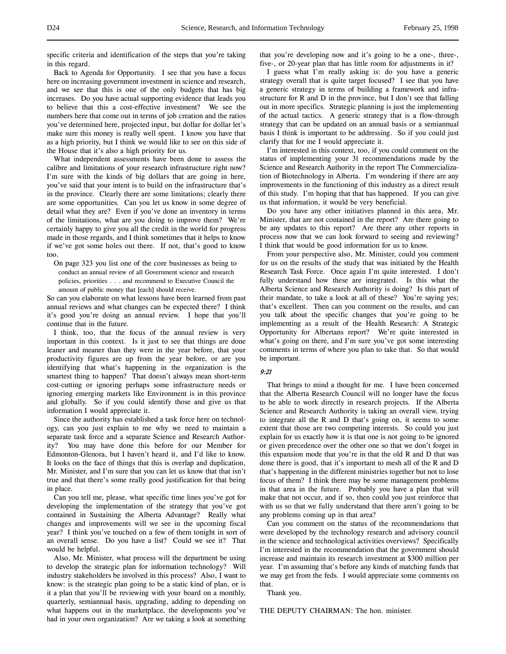specific criteria and identification of the steps that you're taking in this regard.

Back to Agenda for Opportunity. I see that you have a focus here on increasing government investment in science and research, and we see that this is one of the only budgets that has big increases. Do you have actual supporting evidence that leads you to believe that this a cost-effective investment? We see the numbers here that come out in terms of job creation and the ratios you've determined here, projected input, but dollar for dollar let's make sure this money is really well spent. I know you have that as a high priority, but I think we would like to see on this side of the House that it's also a high priority for us.

What independent assessments have been done to assess the calibre and limitations of your research infrastructure right now? I'm sure with the kinds of big dollars that are going in here, you've said that your intent is to build on the infrastructure that's in the province. Clearly there are some limitations; clearly there are some opportunities. Can you let us know in some degree of detail what they are? Even if you've done an inventory in terms of the limitations, what are you doing to improve them? We're certainly happy to give you all the credit in the world for progress made in those regards, and I think sometimes that it helps to know if we've got some holes out there. If not, that's good to know too.

On page 323 you list one of the core businesses as being to conduct an annual review of all Government science and research policies, priorities . . . and recommend to Executive Council the amount of public money that [each] should receive.

So can you elaborate on what lessons have been learned from past annual reviews and what changes can be expected there? I think it's good you're doing an annual review. I hope that you'll continue that in the future.

I think, too, that the focus of the annual review is very important in this context. Is it just to see that things are done leaner and meaner than they were in the year before, that your productivity figures are up from the year before, or are you identifying that what's happening in the organization is the smartest thing to happen? That doesn't always mean short-term cost-cutting or ignoring perhaps some infrastructure needs or ignoring emerging markets like Environment is in this province and globally. So if you could identify those and give us that information I would appreciate it.

Since the authority has established a task force here on technology, can you just explain to me why we need to maintain a separate task force and a separate Science and Research Authority? You may have done this before for our Member for Edmonton-Glenora, but I haven't heard it, and I'd like to know. It looks on the face of things that this is overlap and duplication, Mr. Minister, and I'm sure that you can let us know that that isn't true and that there's some really good justification for that being in place.

Can you tell me, please, what specific time lines you've got for developing the implementation of the strategy that you've got contained in Sustaining the Alberta Advantage? Really what changes and improvements will we see in the upcoming fiscal year? I think you've touched on a few of them tonight in sort of an overall sense. Do you have a list? Could we see it? That would be helpful.

Also, Mr. Minister, what process will the department be using to develop the strategic plan for information technology? Will industry stakeholders be involved in this process? Also, I want to know: is the strategic plan going to be a static kind of plan, or is it a plan that you'll be reviewing with your board on a monthly, quarterly, semiannual basis, upgrading, adding to depending on what happens out in the marketplace, the developments you've had in your own organization? Are we taking a look at something

that you're developing now and it's going to be a one-, three-, five-, or 20-year plan that has little room for adjustments in it?

I guess what I'm really asking is: do you have a generic strategy overall that is quite target focused? I see that you have a generic strategy in terms of building a framework and infrastructure for R and D in the province, but I don't see that falling out in more specifics. Strategic planning is just the implementing of the actual tactics. A generic strategy that is a flow-through strategy that can be updated on an annual basis or a semiannual basis I think is important to be addressing. So if you could just clarify that for me I would appreciate it.

I'm interested in this context, too, if you could comment on the status of implementing your 31 recommendations made by the Science and Research Authority in the report The Commercialization of Biotechnology in Alberta. I'm wondering if there are any improvements in the functioning of this industry as a direct result of this study. I'm hoping that that has happened. If you can give us that information, it would be very beneficial.

Do you have any other initiatives planned in this area, Mr. Minister, that are not contained in the report? Are there going to be any updates to this report? Are there any other reports in process now that we can look forward to seeing and reviewing? I think that would be good information for us to know.

From your perspective also, Mr. Minister, could you comment for us on the results of the study that was initiated by the Health Research Task Force. Once again I'm quite interested. I don't fully understand how these are integrated. Is this what the Alberta Science and Research Authority is doing? Is this part of their mandate, to take a look at all of these? You're saying yes; that's excellent. Then can you comment on the results, and can you talk about the specific changes that you're going to be implementing as a result of the Health Research: A Strategic Opportunity for Albertans report? We're quite interested in what's going on there, and I'm sure you've got some interesting comments in terms of where you plan to take that. So that would be important.

### 9:21

That brings to mind a thought for me. I have been concerned that the Alberta Research Council will no longer have the focus to be able to work directly in research projects. If the Alberta Science and Research Authority is taking an overall view, trying to integrate all the R and D that's going on, it seems to some extent that those are two competing interests. So could you just explain for us exactly how it is that one is not going to be ignored or given precedence over the other one so that we don't forget in this expansion mode that you're in that the old R and D that was done there is good, that it's important to mesh all of the R and D that's happening in the different ministries together but not to lose focus of them? I think there may be some management problems in that area in the future. Probably you have a plan that will make that not occur, and if so, then could you just reinforce that with us so that we fully understand that there aren't going to be any problems coming up in that area?

Can you comment on the status of the recommendations that were developed by the technology research and advisory council in the science and technological activities overviews? Specifically I'm interested in the recommendation that the government should increase and maintain its research investment at \$300 million per year. I'm assuming that's before any kinds of matching funds that we may get from the feds. I would appreciate some comments on that.

Thank you.

THE DEPUTY CHAIRMAN: The hon. minister.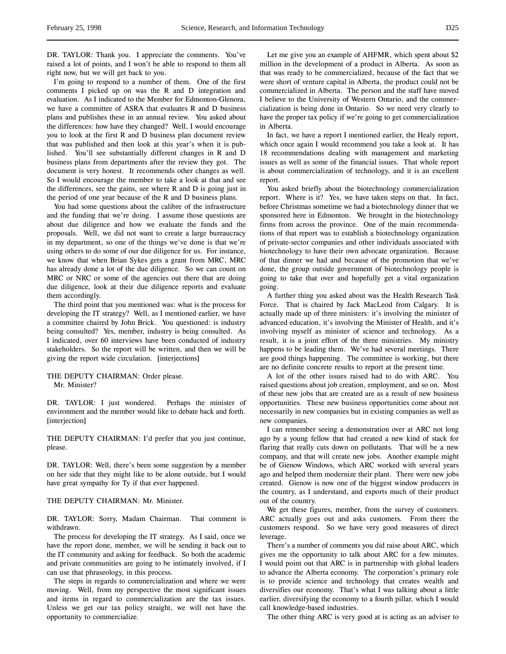DR. TAYLOR: Thank you. I appreciate the comments. You've raised a lot of points, and I won't be able to respond to them all right now, but we will get back to you.

I'm going to respond to a number of them. One of the first comments I picked up on was the R and D integration and evaluation. As I indicated to the Member for Edmonton-Glenora, we have a committee of ASRA that evaluates R and D business plans and publishes these in an annual review. You asked about the differences: how have they changed? Well, I would encourage you to look at the first R and D business plan document review that was published and then look at this year's when it is published. You'll see substantially different changes in R and D business plans from departments after the review they got. The document is very honest. It recommends other changes as well. So I would encourage the member to take a look at that and see the differences, see the gains, see where R and D is going just in the period of one year because of the R and D business plans.

You had some questions about the calibre of the infrastructure and the funding that we're doing. I assume those questions are about due diligence and how we evaluate the funds and the proposals. Well, we did not want to create a large bureaucracy in my department, so one of the things we've done is that we're using others to do some of our due diligence for us. For instance, we know that when Brian Sykes gets a grant from MRC, MRC has already done a lot of the due diligence. So we can count on MRC or NRC or some of the agencies out there that are doing due diligence, look at their due diligence reports and evaluate them accordingly.

The third point that you mentioned was: what is the process for developing the IT strategy? Well, as I mentioned earlier, we have a committee chaired by John Brick. You questioned: is industry being consulted? Yes, member, industry is being consulted. As I indicated, over 60 interviews have been conducted of industry stakeholders. So the report will be written, and then we will be giving the report wide circulation. [interjections]

THE DEPUTY CHAIRMAN: Order please. Mr. Minister?

DR. TAYLOR: I just wondered. Perhaps the minister of environment and the member would like to debate back and forth. [interjection]

THE DEPUTY CHAIRMAN: I'd prefer that you just continue, please.

DR. TAYLOR: Well, there's been some suggestion by a member on her side that they might like to be alone outside, but I would have great sympathy for Ty if that ever happened.

### THE DEPUTY CHAIRMAN: Mr. Minister.

DR. TAYLOR: Sorry, Madam Chairman. That comment is withdrawn.

The process for developing the IT strategy. As I said, once we have the report done, member, we will be sending it back out to the IT community and asking for feedback. So both the academic and private communities are going to be intimately involved, if I can use that phraseology, in this process.

The steps in regards to commercialization and where we were moving. Well, from my perspective the most significant issues and items in regard to commercialization are the tax issues. Unless we get our tax policy straight, we will not have the opportunity to commercialize.

Let me give you an example of AHFMR, which spent about \$2 million in the development of a product in Alberta. As soon as that was ready to be commercialized, because of the fact that we were short of venture capital in Alberta, the product could not be commercialized in Alberta. The person and the staff have moved I believe to the University of Western Ontario, and the commercialization is being done in Ontario. So we need very clearly to have the proper tax policy if we're going to get commercialization in Alberta.

In fact, we have a report I mentioned earlier, the Healy report, which once again I would recommend you take a look at. It has 18 recommendations dealing with management and marketing issues as well as some of the financial issues. That whole report is about commercialization of technology, and it is an excellent report.

You asked briefly about the biotechnology commercialization report. Where is it? Yes, we have taken steps on that. In fact, before Christmas sometime we had a biotechnology dinner that we sponsored here in Edmonton. We brought in the biotechnology firms from across the province. One of the main recommendations of that report was to establish a biotechnology organization of private-sector companies and other individuals associated with biotechnology to have their own advocate organization. Because of that dinner we had and because of the promotion that we've done, the group outside government of biotechnology people is going to take that over and hopefully get a vital organization going.

A further thing you asked about was the Health Research Task Force. That is chaired by Jack MacLeod from Calgary. It is actually made up of three ministers: it's involving the minister of advanced education, it's involving the Minister of Health, and it's involving myself as minister of science and technology. As a result, it is a joint effort of the three ministries. My ministry happens to be leading them. We've had several meetings. There are good things happening. The committee is working, but there are no definite concrete results to report at the present time.

A lot of the other issues raised had to do with ARC. You raised questions about job creation, employment, and so on. Most of these new jobs that are created are as a result of new business opportunities. These new business opportunities come about not necessarily in new companies but in existing companies as well as new companies.

I can remember seeing a demonstration over at ARC not long ago by a young fellow that had created a new kind of stack for flaring that really cuts down on pollutants. That will be a new company, and that will create new jobs. Another example might be of Gienow Windows, which ARC worked with several years ago and helped them modernize their plant. There were new jobs created. Gienow is now one of the biggest window producers in the country, as I understand, and exports much of their product out of the country.

We get these figures, member, from the survey of customers. ARC actually goes out and asks customers. From there the customers respond. So we have very good measures of direct leverage.

There's a number of comments you did raise about ARC, which gives me the opportunity to talk about ARC for a few minutes. I would point out that ARC is in partnership with global leaders to advance the Alberta economy. The corporation's primary role is to provide science and technology that creates wealth and diversifies our economy. That's what I was talking about a little earlier, diversifying the economy to a fourth pillar, which I would call knowledge-based industries.

The other thing ARC is very good at is acting as an adviser to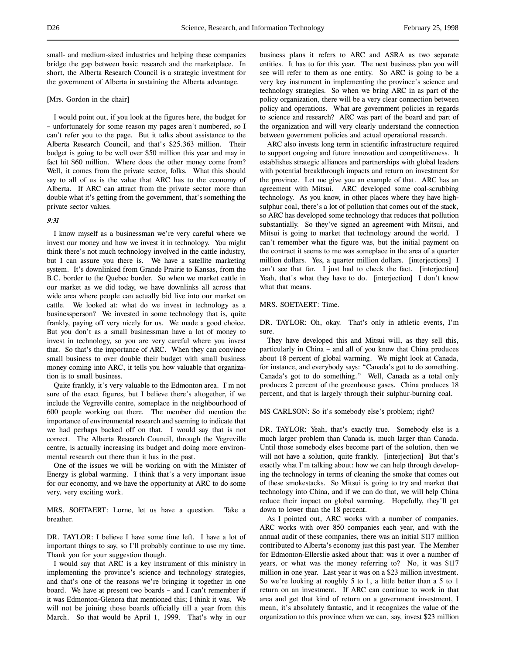small- and medium-sized industries and helping these companies bridge the gap between basic research and the marketplace. In short, the Alberta Research Council is a strategic investment for the government of Alberta in sustaining the Alberta advantage.

### [Mrs. Gordon in the chair]

I would point out, if you look at the figures here, the budget for – unfortunately for some reason my pages aren't numbered, so I can't refer you to the page. But it talks about assistance to the Alberta Research Council, and that's \$25.363 million. Their budget is going to be well over \$50 million this year and may in fact hit \$60 million. Where does the other money come from? Well, it comes from the private sector, folks. What this should say to all of us is the value that ARC has to the economy of Alberta. If ARC can attract from the private sector more than double what it's getting from the government, that's something the private sector values.

## 9:31

I know myself as a businessman we're very careful where we invest our money and how we invest it in technology. You might think there's not much technology involved in the cattle industry, but I can assure you there is. We have a satellite marketing system. It's downlinked from Grande Prairie to Kansas, from the B.C. border to the Quebec border. So when we market cattle in our market as we did today, we have downlinks all across that wide area where people can actually bid live into our market on cattle. We looked at: what do we invest in technology as a businessperson? We invested in some technology that is, quite frankly, paying off very nicely for us. We made a good choice. But you don't as a small businessman have a lot of money to invest in technology, so you are very careful where you invest that. So that's the importance of ARC. When they can convince small business to over double their budget with small business money coming into ARC, it tells you how valuable that organization is to small business.

Quite frankly, it's very valuable to the Edmonton area. I'm not sure of the exact figures, but I believe there's altogether, if we include the Vegreville centre, someplace in the neighbourhood of 600 people working out there. The member did mention the importance of environmental research and seeming to indicate that we had perhaps backed off on that. I would say that is not correct. The Alberta Research Council, through the Vegreville centre, is actually increasing its budget and doing more environmental research out there than it has in the past.

One of the issues we will be working on with the Minister of Energy is global warming. I think that's a very important issue for our economy, and we have the opportunity at ARC to do some very, very exciting work.

MRS. SOETAERT: Lorne, let us have a question. Take a breather.

DR. TAYLOR: I believe I have some time left. I have a lot of important things to say, so I'll probably continue to use my time. Thank you for your suggestion though.

I would say that ARC is a key instrument of this ministry in implementing the province's science and technology strategies, and that's one of the reasons we're bringing it together in one board. We have at present two boards – and I can't remember if it was Edmonton-Glenora that mentioned this; I think it was. We will not be joining those boards officially till a year from this March. So that would be April 1, 1999. That's why in our

business plans it refers to ARC and ASRA as two separate entities. It has to for this year. The next business plan you will see will refer to them as one entity. So ARC is going to be a very key instrument in implementing the province's science and technology strategies. So when we bring ARC in as part of the policy organization, there will be a very clear connection between policy and operations. What are government policies in regards to science and research? ARC was part of the board and part of the organization and will very clearly understand the connection between government policies and actual operational research.

ARC also invests long term in scientific infrastructure required to support ongoing and future innovation and competitiveness. It establishes strategic alliances and partnerships with global leaders with potential breakthrough impacts and return on investment for the province. Let me give you an example of that. ARC has an agreement with Mitsui. ARC developed some coal-scrubbing technology. As you know, in other places where they have highsulphur coal, there's a lot of pollution that comes out of the stack, so ARC has developed some technology that reduces that pollution substantially. So they've signed an agreement with Mitsui, and Mitsui is going to market that technology around the world. I can't remember what the figure was, but the initial payment on the contract it seems to me was someplace in the area of a quarter million dollars. Yes, a quarter million dollars. [interjections] I can't see that far. I just had to check the fact. [interjection] Yeah, that's what they have to do. [interjection] I don't know what that means.

## MRS. SOETAERT: Time.

DR. TAYLOR: Oh, okay. That's only in athletic events, I'm sure.

They have developed this and Mitsui will, as they sell this, particularly in China – and all of you know that China produces about 18 percent of global warming. We might look at Canada, for instance, and everybody says: "Canada's got to do something. Canada's got to do something." Well, Canada as a total only produces 2 percent of the greenhouse gases. China produces 18 percent, and that is largely through their sulphur-burning coal.

MS CARLSON: So it's somebody else's problem; right?

DR. TAYLOR: Yeah, that's exactly true. Somebody else is a much larger problem than Canada is, much larger than Canada. Until those somebody elses become part of the solution, then we will not have a solution, quite frankly. [interjection] But that's exactly what I'm talking about: how we can help through developing the technology in terms of cleaning the smoke that comes out of these smokestacks. So Mitsui is going to try and market that technology into China, and if we can do that, we will help China reduce their impact on global warming. Hopefully, they'll get down to lower than the 18 percent.

As I pointed out, ARC works with a number of companies. ARC works with over 850 companies each year, and with the annual audit of these companies, there was an initial \$117 million contributed to Alberta's economy just this past year. The Member for Edmonton-Ellerslie asked about that: was it over a number of years, or what was the money referring to? No, it was \$117 million in one year. Last year it was on a \$23 million investment. So we're looking at roughly 5 to 1, a little better than a 5 to 1 return on an investment. If ARC can continue to work in that area and get that kind of return on a government investment, I mean, it's absolutely fantastic, and it recognizes the value of the organization to this province when we can, say, invest \$23 million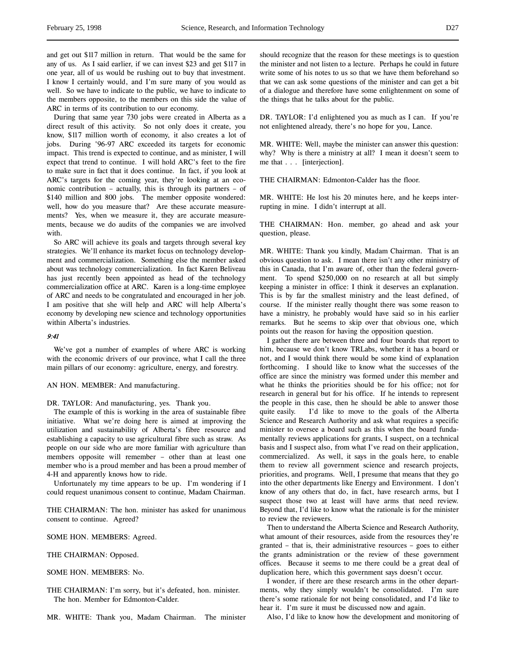During that same year 730 jobs were created in Alberta as a direct result of this activity. So not only does it create, you know, \$117 million worth of economy, it also creates a lot of jobs. During '96-97 ARC exceeded its targets for economic impact. This trend is expected to continue, and as minister, I will expect that trend to continue. I will hold ARC's feet to the fire to make sure in fact that it does continue. In fact, if you look at ARC's targets for the coming year, they're looking at an economic contribution – actually, this is through its partners – of \$140 million and 800 jobs. The member opposite wondered: well, how do you measure that? Are these accurate measurements? Yes, when we measure it, they are accurate measurements, because we do audits of the companies we are involved with.

So ARC will achieve its goals and targets through several key strategies. We'll enhance its market focus on technology development and commercialization. Something else the member asked about was technology commercialization. In fact Karen Beliveau has just recently been appointed as head of the technology commercialization office at ARC. Karen is a long-time employee of ARC and needs to be congratulated and encouraged in her job. I am positive that she will help and ARC will help Alberta's economy by developing new science and technology opportunities within Alberta's industries.

# 9:41

We've got a number of examples of where ARC is working with the economic drivers of our province, what I call the three main pillars of our economy: agriculture, energy, and forestry.

AN HON. MEMBER: And manufacturing.

DR. TAYLOR: And manufacturing, yes. Thank you.

The example of this is working in the area of sustainable fibre initiative. What we're doing here is aimed at improving the utilization and sustainability of Alberta's fibre resource and establishing a capacity to use agricultural fibre such as straw. As people on our side who are more familiar with agriculture than members opposite will remember – other than at least one member who is a proud member and has been a proud member of 4-H and apparently knows how to ride.

Unfortunately my time appears to be up. I'm wondering if I could request unanimous consent to continue, Madam Chairman.

THE CHAIRMAN: The hon. minister has asked for unanimous consent to continue. Agreed?

SOME HON. MEMBERS: Agreed.

THE CHAIRMAN: Opposed.

SOME HON. MEMBERS: No.

THE CHAIRMAN: I'm sorry, but it's defeated, hon. minister. The hon. Member for Edmonton-Calder.

MR. WHITE: Thank you, Madam Chairman. The minister

should recognize that the reason for these meetings is to question the minister and not listen to a lecture. Perhaps he could in future write some of his notes to us so that we have them beforehand so that we can ask some questions of the minister and can get a bit of a dialogue and therefore have some enlightenment on some of the things that he talks about for the public.

DR. TAYLOR: I'd enlightened you as much as I can. If you're not enlightened already, there's no hope for you, Lance.

MR. WHITE: Well, maybe the minister can answer this question: why? Why is there a ministry at all? I mean it doesn't seem to me that . . . [interjection].

THE CHAIRMAN: Edmonton-Calder has the floor.

MR. WHITE: He lost his 20 minutes here, and he keeps interrupting in mine. I didn't interrupt at all.

THE CHAIRMAN: Hon. member, go ahead and ask your question, please.

MR. WHITE: Thank you kindly, Madam Chairman. That is an obvious question to ask. I mean there isn't any other ministry of this in Canada, that I'm aware of, other than the federal government. To spend \$250,000 on no research at all but simply keeping a minister in office: I think it deserves an explanation. This is by far the smallest ministry and the least defined, of course. If the minister really thought there was some reason to have a ministry, he probably would have said so in his earlier remarks. But he seems to skip over that obvious one, which points out the reason for having the opposition question.

I gather there are between three and four boards that report to him, because we don't know TRLabs, whether it has a board or not, and I would think there would be some kind of explanation forthcoming. I should like to know what the successes of the office are since the ministry was formed under this member and what he thinks the priorities should be for his office; not for research in general but for his office. If he intends to represent the people in this case, then he should be able to answer those quite easily. I'd like to move to the goals of the Alberta Science and Research Authority and ask what requires a specific minister to oversee a board such as this when the board fundamentally reviews applications for grants, I suspect, on a technical basis and I suspect also, from what I've read on their application, commercialized. As well, it says in the goals here, to enable them to review all government science and research projects, priorities, and programs. Well, I presume that means that they go into the other departments like Energy and Environment. I don't know of any others that do, in fact, have research arms, but I suspect those two at least will have arms that need review. Beyond that, I'd like to know what the rationale is for the minister to review the reviewers.

Then to understand the Alberta Science and Research Authority, what amount of their resources, aside from the resources they're granted – that is, their administrative resources – goes to either the grants administration or the review of these government offices. Because it seems to me there could be a great deal of duplication here, which this government says doesn't occur.

I wonder, if there are these research arms in the other departments, why they simply wouldn't be consolidated. I'm sure there's some rationale for not being consolidated, and I'd like to hear it. I'm sure it must be discussed now and again.

Also, I'd like to know how the development and monitoring of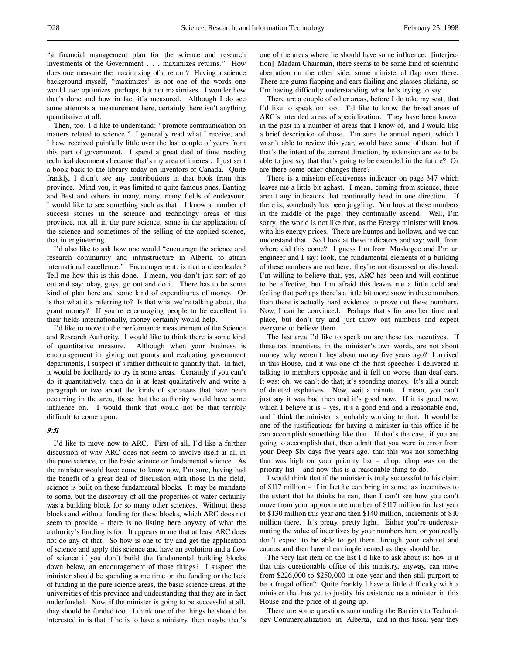"a financial management plan for the science and research investments of the Government . . . maximizes returns." How does one measure the maximizing of a return? Having a science background myself, "maximizes" is not one of the words one would use; optimizes, perhaps, but not maximizes. I wonder how that's done and how in fact it's measured. Although I do see some attempts at measurement here, certainly there isn't anything quantitative at all.

Then, too, I'd like to understand: "promote communication on matters related to science." I generally read what I receive, and I have received painfully little over the last couple of years from this part of government. I spend a great deal of time reading technical documents because that's my area of interest. I just sent a book back to the library today on inventors of Canada. Quite frankly, I didn't see any contributions in that book from this province. Mind you, it was limited to quite famous ones, Banting and Best and others in many, many, many fields of endeavour. I would like to see something such as that. I know a number of success stories in the science and technology areas of this province, not all in the pure science, some in the application of the science and sometimes of the selling of the applied science, that in engineering.

I'd also like to ask how one would "encourage the science and research community and infrastructure in Alberta to attain international excellence." Encouragement: is that a cheerleader? Tell me how this is this done. I mean, you don't just sort of go out and say: okay, guys, go out and do it. There has to be some kind of plan here and some kind of expenditures of money. Or is that what it's referring to? Is that what we're talking about, the grant money? If you're encouraging people to be excellent in their fields internationally, money certainly would help.

I'd like to move to the performance measurement of the Science and Research Authority. I would like to think there is some kind of quantitative measure. Although when your business is encouragement in giving out grants and evaluating government departments, I suspect it's rather difficult to quantify that. In fact, it would be foolhardy to try in some areas. Certainly if you can't do it quantitatively, then do it at least qualitatively and write a paragraph or two about the kinds of successes that have been occurring in the area, those that the authority would have some influence on. I would think that would not be that terribly difficult to come upon.

# 9:51

I'd like to move now to ARC. First of all, I'd like a further discussion of why ARC does not seem to involve itself at all in the pure science, or the basic science or fundamental science. As the minister would have come to know now, I'm sure, having had the benefit of a great deal of discussion with those in the field, science is built on these fundamental blocks. It may be mundane to some, but the discovery of all the properties of water certainly was a building block for so many other sciences. Without these blocks and without funding for these blocks, which ARC does not seem to provide – there is no listing here anyway of what the authority's funding is for. It appears to me that at least ARC does not do any of that. So how is one to try and get the application of science and apply this science and have an evolution and a flow of science if you don't build the fundamental building blocks down below, an encouragement of those things? I suspect the minister should be spending some time on the funding or the lack of funding in the pure science areas, the basic science areas, at the universities of this province and understanding that they are in fact underfunded. Now, if the minister is going to be successful at all, they should be funded too. I think one of the things he should be interested in is that if he is to have a ministry, then maybe that's one of the areas where he should have some influence. [interjection] Madam Chairman, there seems to be some kind of scientific aberration on the other side, some ministerial flap over there. There are gums flapping and ears flailing and glasses clicking, so I'm having difficulty understanding what he's trying to say.

There are a couple of other areas, before I do take my seat, that I'd like to speak on too. I'd like to know the broad areas of ARC's intended areas of specialization. They have been known in the past in a number of areas that I know of, and I would like a brief description of those. I'm sure the annual report, which I wasn't able to review this year, would have some of them, but if that's the intent of the current direction, by extension are we to be able to just say that that's going to be extended in the future? Or are there some other changes there?

There is a mission effectiveness indicator on page 347 which leaves me a little bit aghast. I mean, coming from science, there aren't any indicators that continually head in one direction. If there is, somebody has been juggling. You look at these numbers in the middle of the page; they continually ascend. Well, I'm sorry; the world is not like that, as the Energy minister will know with his energy prices. There are humps and hollows, and we can understand that. So I look at these indicators and say: well, from where did this come? I guess I'm from Muskogee and I'm an engineer and I say: look, the fundamental elements of a building of these numbers are not here; they're not discussed or disclosed. I'm willing to believe that, yes, ARC has been and will continue to be effective, but I'm afraid this leaves me a little cold and feeling that perhaps there's a little bit more snow in these numbers than there is actually hard evidence to prove out these numbers. Now, I can be convinced. Perhaps that's for another time and place, but don't try and just throw out numbers and expect everyone to believe them.

The last area I'd like to speak on are these tax incentives. If these tax incentives, in the minister's own words, are not about money, why weren't they about money five years ago? I arrived in this House, and it was one of the first speeches I delivered in talking to members opposite and it fell on worse than deaf ears. It was: oh, we can't do that; it's spending money. It's all a bunch of deleted expletives. Now, wait a minute. I mean, you can't just say it was bad then and it's good now. If it is good now, which I believe it is - yes, it's a good end and a reasonable end, and I think the minister is probably working to that. It would be one of the justifications for having a minister in this office if he can accomplish something like that. If that's the case, if you are going to accomplish that, then admit that you were in error from your Deep Six days five years ago, that this was not something that was high on your priority list – chop, chop was on the priority list – and now this is a reasonable thing to do.

I would think that if the minister is truly successful to his claim of \$117 million – if in fact he can bring in some tax incentives to the extent that he thinks he can, then I can't see how you can't move from your approximate number of \$117 million for last year to \$130 million this year and then \$140 million, increments of \$10 million there. It's pretty, pretty light. Either you're underestimating the value of incentives by your numbers here or you really don't expect to be able to get them through your cabinet and caucus and then have them implemented as they should be.

The very last item on the list I'd like to ask about is: how is it that this questionable office of this ministry, anyway, can move from \$226,000 to \$250,000 in one year and then still purport to be a frugal office? Quite frankly I have a little difficulty with a minister that has yet to justify his existence as a minister in this House and the price of it going up.

There are some questions surrounding the Barriers to Technology Commercialization in Alberta, and in this fiscal year they